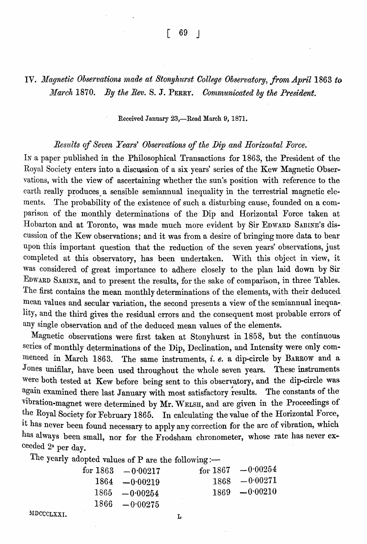$\begin{bmatrix} 69 \end{bmatrix}$ 

# IV. *Magnetic Observations made at Stonyhurst College Observatory, from April* 1863 *to Marclt* 1870. *By the Rev.* S. J. PERRY. *Oornmunicated by the President.*

#### Received January 23,-Read March 9, 1871.

## *Resztlts of Seven Years' Observations of the* Dip *and Horizontal Force.'*

IN a paper published in the Philosophical Transactions for 1863, the President of the Royal Society enters into a discussion of a six years' series of the Kew Magnetic Observations, with the view of ascertaining whether the sun's position with reference to the earth really produces a sensible semiannual inequality in the terrestrial magnetic elements. The probability of the existence of such a disturbing cause, founded on a comparison of the monthly determinations of the Dip and Horizontal Force taken at Hobarton and at Toronto, was made much more evident by Sir EDWARD SABINE'S discussion of the Kew observations; and it was from a desire of bringing more data to bear upon this important question that the reduction of the seven years' observations, just completed at this observatory, has been undertaken. With this object in view, it was considered of great importance to adhere closely to the plan laid down by Sir EDWARD SABINE, and to present the results, for the sake of comparison, in three Tables. The first contains the mean monthly determinations of the elements, with their deduced mean values and secular variation, the second presents a view of the semiannual inequa-, lity, and the third gives the residual errors and the consequent most probable errors of any single observation and of the deduced mean values of the elements.

Magnetic observations were first taken at Stonyhurst in 1858, but the continuous series of monthly determinations of the Dip, Declination, and Intensity were only commenced in March 1863. The same instruments, i. *e.* a dip-circle by BARROW and a Jones unifilar, have been used throughout the whole seven years. These instruments were both tested at Kew before being sent to this observatory, and the dip-circle was again examined there last January with most satisfactory results. The constants of the vibration-magnet were determined by Mr. WELSH, and are given in the Proceedings of the Royal Society for February 1865. In calculating the value of the Horizontal Force, It has never been found necessary to apply any correction for the arc of vibration, which has always been small, nor for the Frodsham chronometer, whose rate has never exceeded 28 per day.

The yearly adopted values of P are the following: $\leftarrow$ 

| for $1863 - 0.00217$ | for $1867 - 0.00254$ |
|----------------------|----------------------|
| $1864 - 0.00219$     | $1868 - 0.00271$     |
| $1865 - 0.00254$     | $1869 - 0.00210$     |
| $1866 - 0.00275$     |                      |

MDCCCLXXI. L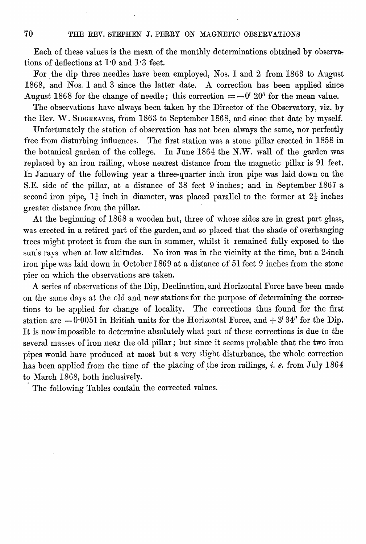Each of these values is the mean of the monthly determinations obtained by observa~ tions of deflections at 1'0 and 1'3 feet.

For the dip three needles have been employed, Nos. 1 and 2 from 1863 to August 1868, and Nos. 1 and 3 since the latter date. A correction has been applied since August 1868 for the change of needle; this correction  $=-0' 20''$  for the mean value.

The observations have always been taken by the Director of the Observatory, viz. by the Rev. W. SIDGREAVES, from 1863 to September 1868, and since that date by myself.

Unfortunately the station of observation has not been always the same, nor perfectly free from disturbing influences. The first station was a stone pillar erected in 1858 in the botanical garden of the college. In June 1864 the N.W. wall of the garden was replaced by an iron railing, whose nearest distance from the magnetic pillar is 91 feet. In January of the following year a three-quarter inch iron pipe was laid down on the S.E. side of the pillar, at a distance of 38 feet 9 inches; and in September 1867 a second iron pipe,  $1\frac{1}{4}$  inch in diameter, was placed parallel to the former at  $2\frac{1}{2}$  inches greater distance from the pillar.

At the beginning of 1868 a wooden hut, three of whose sides are in great part glass, was erected in a retired part of the garden, and so placed that the shade of overhanging trees might protect it from the sun in summer, whilst it remained fully exposed to the sun's rays when at low altitudes. No iron was in the vicinity at the time, but a 2-inch iron pipe was laid down in October 1869 at a distance of 51 feet 9 inches from the stone pier on which the observations are taken.

A series of observations of the Dip, Declination, and Horizontal Force have been made on the same days at the old and new stations for the purpose of determining the corrections to be applied for change of locality. The corrections thus found for the first station are  $-0.0051$  in British units for the Horizontal Force, and  $+3'34''$  for the Dip. It is now impossible to determine absolutely what part of these corrections is due to the several masses of iron near the old pillar; but since it seems probable that the two iron pipes would have produced at most but a very slight disturbance, the whole correction has been applied from the time of the placing of the iron railings, *i. e.* from July 1864 to March 1868, both inclusively.

. The following Tables contain the corrected values.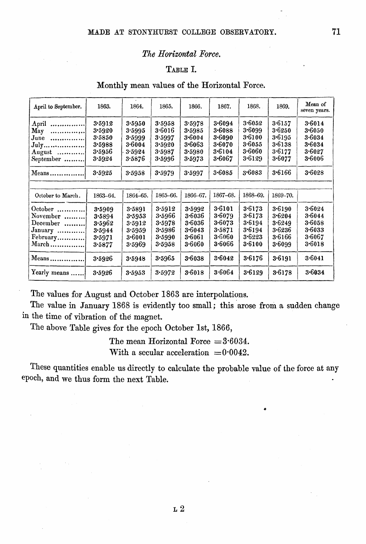### *The Horizontal Force.*

## TABLE I.

## Monthly mean values of the Horizontal Force.

| April to September.                                                                     | 1863.                                                    | 1864.                                                    | 1865.                                                    | 1866.                                                    | 1867.                                                        | 1868.                                                    | 1869.                                                    | Mean of<br>seven years.                                      |
|-----------------------------------------------------------------------------------------|----------------------------------------------------------|----------------------------------------------------------|----------------------------------------------------------|----------------------------------------------------------|--------------------------------------------------------------|----------------------------------------------------------|----------------------------------------------------------|--------------------------------------------------------------|
| April<br><br>May<br>. 1<br>$June$<br>July<br>August $\dots\dots\dots\dots$<br>September | 3.5912<br>3.5920<br>3.5850<br>3.5988<br>3.5956<br>3.5924 | 3.5950<br>3.5995<br>3.5999<br>3.6004<br>3.5924<br>3.5876 | 3.5958<br>3.6016<br>3.5997<br>3.5920<br>3.5987<br>3.5996 | 3.5978<br>3.5985<br>3.6004<br>3.6063<br>3.5980<br>3.5973 | 3.6094<br>3.6088<br>3.6090<br>3.6070<br>3.6104<br>3.6067     | 3.6052<br>3.6099<br>3.6100<br>3.6055<br>3.6060<br>3.6129 | 3.6157<br>3.6250<br>3.6195<br>3.6138<br>3.6177<br>3.6077 | 3.6014<br>3.6050<br>$3 - 6034$<br>3.6034<br>3.6027<br>3.6006 |
| Means                                                                                   | 3.5925                                                   | 3.5958                                                   | 3.5979                                                   | 3.5997                                                   | 3.6085                                                       | 3.6083                                                   | $3 - 6166$                                               | 3.6028                                                       |
| October to March.                                                                       | 1863-64.                                                 | 1864-65.                                                 | 1865-66.                                                 | 1866-67.                                                 | 1867-68.                                                     | 1868-69.                                                 | 1869-70.                                                 |                                                              |
|                                                                                         |                                                          |                                                          |                                                          |                                                          |                                                              |                                                          |                                                          |                                                              |
| October<br>November<br>December<br>January<br>February<br>March                         | 3.5909<br>3.5894<br>3.5962<br>3.5944<br>3.5971<br>3.5877 | 3.5891<br>3.5953<br>3.5912<br>3.5959<br>3.6001<br>3.5969 | 3.5912<br>3.5966<br>3.5978<br>3.5986<br>3.5990<br>3.5958 | 3.5992<br>3.6036<br>3.6036<br>3.6043<br>3.6061<br>3.6060 | 3.6101<br>3.6079<br>3.6073<br>3.5871<br>3.6060<br>$3 - 6066$ | 3.6173<br>3.6173<br>3.6194<br>3.6194<br>3.6223<br>3.6100 | 3.6190<br>3.6204<br>3.6249<br>3.6236<br>3.6166<br>3.6099 | 3.6024<br>3.6044<br>$3 - 6058$<br>3.6033<br>3.6067<br>3.6018 |
| $Mean$                                                                                  | 3.5926                                                   | 3.5948                                                   | 3.5965                                                   | 3.6038                                                   | 3.6042                                                       | 3.6176                                                   | 3.6191                                                   | 3.6041                                                       |
| Yearly means                                                                            | 3.5926                                                   | 3.5953                                                   | 3.5972                                                   | 3.6018                                                   | 3.6064                                                       | 3.6129                                                   | 3.6178                                                   | 3.6034                                                       |

The values for August and October 1863 are interpolations.

The value in January 1868 is evidently too small; this arose from a sudden change in the time of vibration of the magnet.

The above Table gives for the epoch October 1st, 1866,

The mean Horizontal Force  $=3.6034$ . With a secular acceleration  $=0.0042$ .

These quantities enable us directly to calculate the probable value of the force at any epoch, and we thus form the next Table.

•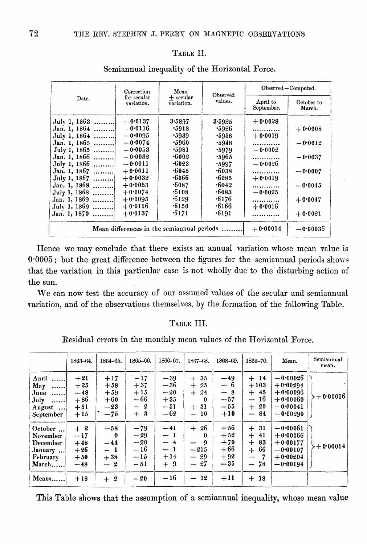### TABLE II.

|              | Correction                                 | Mean                      | Observed     | Observed - Computed.   |                      |  |
|--------------|--------------------------------------------|---------------------------|--------------|------------------------|----------------------|--|
| Date.        | for secular<br>variation.                  | $+$ secular<br>variation. | values.      | April to<br>September. | October to<br>March. |  |
| July 1, 1863 | $-0.0137$                                  | 3.5897                    | 3.5925       | $+0.0028$              |                      |  |
| Jan. 1, 1864 | $-0.0116$                                  | .5918                     | .5926        |                        | $+0.0008$            |  |
| July 1, 1864 | $-0.0095$                                  | .5939                     | .5958        | $+0.0019$              |                      |  |
| Jan. 1, 1865 | $-0.0074$                                  | .5960                     | .5948        |                        | $-0.0012$            |  |
| July 1, 1865 | $-0.0053$                                  | - 5981                    | .5979        | $-0.0002$              |                      |  |
| Jan. 1, 1866 | $-0.0032$                                  | .6002                     | .5965        |                        | $-0.0037$            |  |
| July 1, 1866 | $-0.0011$                                  | $-6023$                   | .5997        | $-0.0026$              |                      |  |
| Jan. 1, 1867 | $+0.0011$                                  | .6045                     | •6038        |                        | $-0.0007$            |  |
| July 1, 1867 | $+0.0032$                                  | $\cdot 6066$              | $\cdot 6085$ | $+0.0019$              |                      |  |
| Jan. 1, 1868 | $+0.0053$                                  | -6087                     | .6042        |                        | $-0.0045$            |  |
| July 1, 1868 | $+0.0074$                                  | .6108                     | .6083        | $-0.0025$              |                      |  |
| Jan. 1, 1869 | $+0.0095$                                  | .6129                     | $\cdot 6176$ |                        | $+0.0047$            |  |
| July 1, 1869 | $+0.0116$                                  | $\cdot 6150$              | .6166        | $+0.0016$              |                      |  |
| Jan. 1, 1870 | $+0.0137$                                  | •6171                     | .6191        |                        | $+0.0021$            |  |
|              | Mean differences in the semiannual periods |                           |              | $+0.00014$             | $-0.00036$           |  |

Semiannual inequality of the Horizontal Force.

Hence we may conclude that there exists an annual variation whose mean value is 0'0005; but the great difference between the figures for the semiannual periods shows that the variation in this particular case is not wholly due to the disturbing action of the sun.

We can now test the accuracy of our assumed values of the secular and semiannual variation, and of the observations themselves, by the formation of the following Table.

### TABLE III.

Residual errors in the monthly mean values of the Horizontal Force.

|                                                                          | 1863-64.                                           | 1864-65.                                            | 1865-66.                                             | 1866-67.                                           | 1867-68.                                                                   | 1868-69.                                           | 1869-70.                                                      | Mean.                                                                            | Semiannual<br>mean. |
|--------------------------------------------------------------------------|----------------------------------------------------|-----------------------------------------------------|------------------------------------------------------|----------------------------------------------------|----------------------------------------------------------------------------|----------------------------------------------------|---------------------------------------------------------------|----------------------------------------------------------------------------------|---------------------|
| April<br>May<br>. 1<br>$June$<br>July<br>!<br>August<br><b>September</b> | $+21$<br>$+25$<br>$-48$<br>$+86$<br>$+51$<br>$+15$ | $+17$<br>$+58$<br>$+59$<br>$+60$<br>$-23$<br>$-75$  | $-17$<br>$+37$<br>$+15$<br>$-66$<br>$-2$<br>3<br>$+$ | $-39$<br>$-36$<br>$-20$<br>$+35$<br>$-51$<br>$-62$ | 35<br>$+$<br>25<br>$+$<br>24<br>$+$<br>0<br>$+31$<br>10<br>$\qquad \qquad$ | $-49$<br>$-6$<br>$-8$<br>$-57$<br>$-55$<br>$+10$   | $+14$<br>$+103$<br>$+45$<br>$-16$<br>$+20$<br>$-84$           | $-0.00026$<br>$+0.00294$<br>$+0.00096$<br>$+0.00060$<br>$-0.00041$<br>$-0.00290$ | $-+0.00016$         |
| October<br>November<br>December<br>January<br>February<br>March          | $+2$<br>$-17$<br>$+48$<br>$+26$<br>$+50$<br>$-48$  | $-58$<br>$\bf{0}$<br>$-44$<br>$-1$<br>$+38$<br>$-2$ | $-79$<br>$-29$<br>$-20$<br>$-16$<br>$-15$<br>$-51$   | $-41$<br>$-1$<br>$-4$<br>$-1$<br>$+14$<br>$+9$     | 26<br>$+$<br>0<br>9<br>$-215$<br>$-29$<br>$-27$                            | $+56$<br>$+52$<br>$+70$<br>$+66$<br>$+92$<br>$-35$ | $+31$<br>41<br>$+$<br>-83<br>$+$<br>-66<br>$+$<br>--<br>$-78$ | $-0.00061$<br>$+0.00066$<br>$+0.00177$<br>$-0.00107$<br>$+0.00204$<br>$-0.00194$ | $+0.00014$          |
| Means                                                                    | $+18$                                              | 2<br>$+$                                            | $-20$                                                | $-16$                                              | - 12<br>$\overline{\phantom{a}}$                                           | $+11$                                              | 18<br>$\div$                                                  |                                                                                  |                     |

This Table shows that the assumption of a semiannual inequality, whose mean value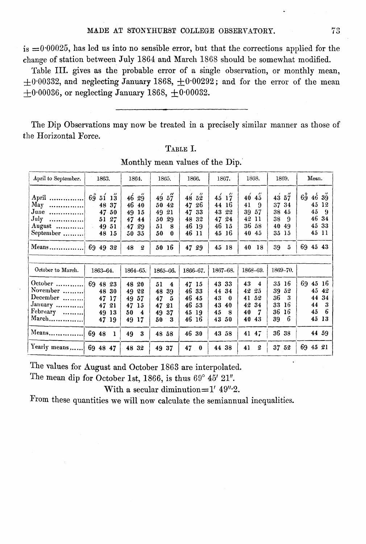is  $=0.00025$ , has led us into no sensible error, but that the corrections applied for the change of station between July 1864 and March 1868 should be somewhat modified.

Table III. gives as the probable error of a single observation, or monthly mean,  $\pm 0.00332$ , and neglecting January 1868,  $\pm 0.00292$ ; and for the error of the mean  $+0.00036$ , or neglecting January 1868,  $+0.00032$ .

The Dip Observations may now be treated in a precisely similar manner as those of the Horizontal Force.

| April to September.                                                      | 1863.                                                                                 | 1864.                                                                  | 1865.                                                                | 1866.                                                                                     | 1867.                                                                      | 1868.                                                                           | 1869.                                                               | Mean.                                                                                      |
|--------------------------------------------------------------------------|---------------------------------------------------------------------------------------|------------------------------------------------------------------------|----------------------------------------------------------------------|-------------------------------------------------------------------------------------------|----------------------------------------------------------------------------|---------------------------------------------------------------------------------|---------------------------------------------------------------------|--------------------------------------------------------------------------------------------|
| .<br>April<br>May<br>June<br>. 1<br>July<br>. 1<br>$August$<br>September | 69<br>51<br>13<br>-37<br>48<br>47 50<br>27<br>51<br>49 51<br>$\sim 10^{-11}$<br>48 15 | 46<br>29<br>46<br>40<br>49<br>15<br>47<br>44<br>47.<br>29<br>50.<br>35 | "<br>49 57<br>50<br>42<br>49<br>21<br>50<br>29<br>51<br>8<br>50<br>0 | $^{\prime\prime}$<br>52<br>48<br>47<br>26<br>47<br>33<br>48<br>32<br>46<br>19<br>46<br>11 | $45^{'}17$<br>44<br>16<br>22<br>43<br>47<br>24<br>46 15<br>16<br>45        | 40<br>45<br>41<br>-9<br>57<br>39<br>42<br>11<br>36<br>58<br>40<br>45            | 43<br>57<br>37<br>34<br>38<br>45<br>38<br>9<br>40<br>49<br>35<br>15 | $6\overset{\circ}{9}$<br>4639<br>45<br>12<br>45<br>-9<br>46<br>34<br>45<br>33<br>45<br>-11 |
| Means                                                                    | 69 49<br>32                                                                           | 48<br>$\boldsymbol{2}$                                                 | 50 16                                                                | 47<br>29                                                                                  | 45 18                                                                      | 40<br>18                                                                        | 39<br>5                                                             | 69 45 43                                                                                   |
| October to March.                                                        | 1863-64.                                                                              | $1864 - 65.$                                                           | 1865-66.                                                             | 1866-67.                                                                                  | 1867-68.                                                                   | 1868-69.                                                                        | 1869-70.                                                            |                                                                                            |
| October<br>November<br>December<br>January<br>February<br>March          | 69 48<br>23<br>48<br>30<br>47<br>17<br>47<br>21<br>49<br>13<br>47 19                  | 48<br>20<br>22<br>49<br>57<br>49<br>47<br>15<br>50<br>4<br>49<br>17    | 51<br>4<br>48<br>39<br>47<br>5<br>47<br>21<br>49<br>37<br>50<br>3    | 47 15<br>46<br>33<br>46<br>45<br>46<br>53<br>45<br>19<br>46<br>16                         | 43<br>33<br>34<br>44<br>43<br>$\bf{0}$<br>43<br>40<br>45<br>8<br>43<br>-50 | 43<br>$\overline{4}$<br>42<br>25<br>52<br>41<br>42<br>34<br>40<br>7<br>40<br>43 | 16<br>35<br>39<br>52<br>36<br>3<br>33<br>16<br>36<br>16<br>6<br>39  | 69.<br>45<br>16<br>45<br>42<br>44<br>34<br>44<br>3<br>6<br>45<br>45<br>13                  |
| Means                                                                    | 69<br>48<br>1                                                                         | 49<br>3                                                                | 48 58                                                                | 46<br>30                                                                                  | 43 58                                                                      | $41 \t47$                                                                       | 36<br>38                                                            | 44 59                                                                                      |
| Yearly means                                                             | 69 48 47                                                                              | 48<br>32                                                               | 49 37                                                                | 47<br>$\bf{0}$                                                                            | 44 38                                                                      | 2<br>41                                                                         | 37 52                                                               | 69<br>45 21                                                                                |

TABLE I. Monthly mean yalues of the Dip.'

The values for August and October 1863 are interpolated.

The mean dip for October 1st, 1866, is thus  $69^{\circ}$   $45'$   $21''.$ 

With a secular diminution= $1'$  49" $\cdot$ 2.

From these quantities we will now calculate the semiannual inequalities.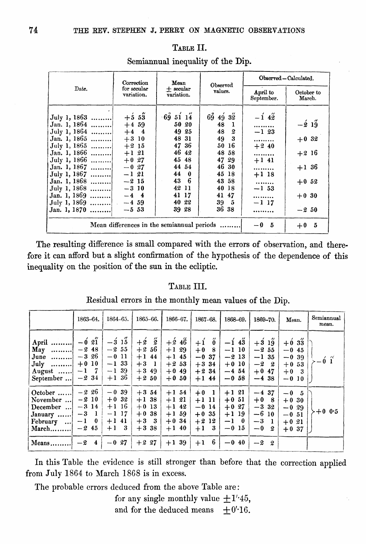|                                                                                                                                                                                                                              | Correction                                                                                                                                                            | Mean                                                                                                                      | Observed                                                                                                                                 | Observed - Calculated.                                                                                 |                                                                                      |  |
|------------------------------------------------------------------------------------------------------------------------------------------------------------------------------------------------------------------------------|-----------------------------------------------------------------------------------------------------------------------------------------------------------------------|---------------------------------------------------------------------------------------------------------------------------|------------------------------------------------------------------------------------------------------------------------------------------|--------------------------------------------------------------------------------------------------------|--------------------------------------------------------------------------------------|--|
| Date.                                                                                                                                                                                                                        | for secular<br>variation.                                                                                                                                             | $+$ secular<br>variation.                                                                                                 | values.                                                                                                                                  | April to<br>September.                                                                                 | October to<br>March.                                                                 |  |
| July 1, 1863<br>Jan. 1, 1864<br>July 1, 1864<br>Jan. 1, 1865<br>July 1, 1865<br>Jan. I, 1866<br>July 1, 1866<br>Jan. 1, 1867<br>July 1, 1867<br>Jan. 1, 1868<br>July 1, 1868<br>Jan. 1, 1869<br>July 1, 1869<br>Jan. 1, 1870 | $+5.53$<br>$+4,59$<br>$+4$ 4<br>$+3$ 10<br>$+2,15$<br>$+1$ 21<br>$+0.27$<br>$-0,27$<br>$-121$<br>$-215$<br>$-310$<br>$-4$ 4<br>$-4, 59$<br>$\mathbb{R}^2$<br>$-5, 53$ | 695114<br>50 20<br>49 25<br>48 31<br>47 36<br>46 42<br>45 48<br>44 54<br>44 0<br>43 6<br>42 11<br>41 17<br>40 22<br>39 28 | $69\,49\,32$<br>48.<br>- 1<br>48<br>- 2<br>49 3<br>50 16<br>48 58<br>47 29<br>46 30<br>45 18<br>43 58<br>40 18<br>41 47<br>39 5<br>36 38 | $-1\,4\,$<br><br>$-1$ 23<br><br>$+240$<br><br>$+1$ 41<br><br>$+1$ 18<br><br>$-1, 53$<br><br>$-117$<br> | $-\frac{2}{9}$ 19<br>$+0.32$<br>$+2,16$<br>$+1,36$<br>$+0.52$<br>$+0.30$<br>$-2, 50$ |  |
|                                                                                                                                                                                                                              |                                                                                                                                                                       | Mean differences in the semian nual periods                                                                               |                                                                                                                                          | $-0,5$                                                                                                 | 5<br>$+0$                                                                            |  |

## TABLE II. Semiannual inequality of the Dip.

The resulting difference is small compared with the errors of observation, and therefore it can afford but a slight confirmation of the hypothesis of the dependence of this inequality on the position of the sun in the ecliptic.

### TABLE III.

Residual errors in the monthly mean values of the Dip.

|                                                                                        | 1863-64.                                                                                | $1864 - 65.$                                                       | 1865-66.                                                                              | 1866-67.                                                        | 1867-68.                                                                          | 1868-69.                                                        | 1869-70.                                                            | Mean.                                                          | Semiannual<br>mean. |
|----------------------------------------------------------------------------------------|-----------------------------------------------------------------------------------------|--------------------------------------------------------------------|---------------------------------------------------------------------------------------|-----------------------------------------------------------------|-----------------------------------------------------------------------------------|-----------------------------------------------------------------|---------------------------------------------------------------------|----------------------------------------------------------------|---------------------|
| April<br>May<br>. 1<br>June $\dots\dots\dots$<br>$July$<br>August $\dots$<br>September | $\overline{\phantom{a}}$<br>$-6\,21$<br>$-248$<br>$-326$<br>$+0.10$<br>$-1$ 7<br>$-231$ | $-3$ 15<br>$-2, 55$<br>$-0$ 11<br>$-133$<br>$-1$ 39<br>$+1,36$     | $\H{2}$<br>$+\cancel{2}$<br>$+2.56$<br>44<br>$+1$<br>$+3$<br>-1<br>$+3.49$<br>$+2.50$ | $+246$<br>$+1,29$<br>$+1$ 45<br>$+2,53$<br>$+0.49$<br>$+0.50$   | $+1$<br>$\ddot{\mathbf{0}}$<br>$+0$ 8<br>$-0.37$<br>$+3,34$<br>$+2.34$<br>$+1$ 44 | $-1\,43$<br>$-1$ 10<br>$-213$<br>$+0.10$<br>$-4, 54$<br>$-0.58$ | $+3$ 19<br>$-2, 55$<br>$-1, 35$<br>$-2\quad 2$<br>$+0.47$<br>$-438$ | $+0.33$<br>$-0.45$<br>$-0.39$<br>$+0.53$<br>$+0$ 3<br>$-0.10$  | $-6\,$ í            |
| October<br>November<br>December<br>January<br>February<br>. 1<br>March                 | $-226$<br>$-210$<br>$-314$<br>$-3$ 1<br>$\mathbf{0}$<br>$-1$<br>$-245$                  | $-0.39$<br>$+0.32$<br>$+1$ 16<br>$-1$ 17<br>$+1$ 41<br>- 3<br>$+1$ | $+3,54$<br>$+1,38$<br>$+0$ 13<br>38<br>$+0$<br>$+3$ 3<br>$+3.38$                      | $+1, 54$<br>$+121$<br>$+1$ 42<br>$+1, 59$<br>$+0.34$<br>$+1$ 40 | $+0$ 1<br>$+1$ 11<br>$-0.14$<br>$+0.35$<br>$+212$<br>- 3<br>$+1$                  | $+1$ 21<br>$+0.51$<br>$+0.27$<br>$+1$ 19<br>$-1$ 0<br>$-0.15$   | $-437$<br>$+0$ 8<br>$-332$<br>$-610$<br>$-3$<br>- 1<br>$-0$<br>-2   | $-0\t5$<br>$+0.30$<br>$-0.29$<br>$-0.51$<br>$+0.21$<br>$+0.37$ | $+0$ 0.5            |
| Means                                                                                  | $-2$<br>$\overline{\mathbf{4}}$                                                         | $-0,27$                                                            | $+2,27$                                                                               | $+139$                                                          | 6<br>$+1$                                                                         | $-0.40$                                                         | $-2^{-}$<br>- 2                                                     |                                                                |                     |

In this Table the evidence is still stronger than before that the correction applied from July 1864 to March 1868 is in excess.

The probable errors deduced from the above Table are:

for any single monthly value  $\pm 1$ '45, and for the deduced means  $\pm 0$ '16.